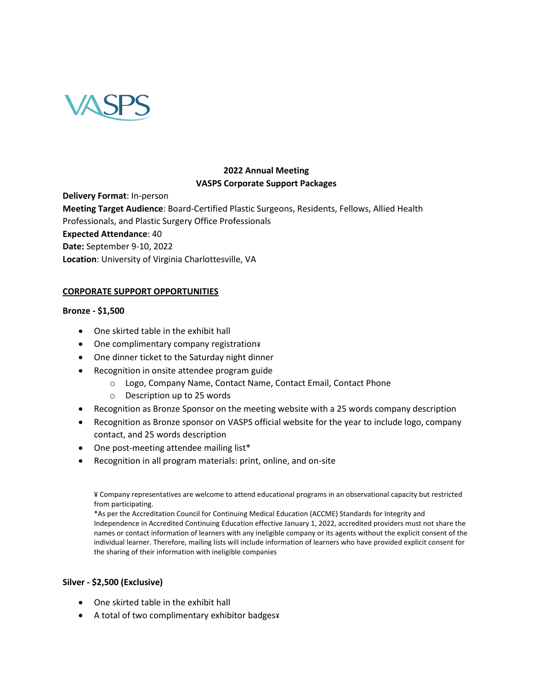

# **2022 Annual Meeting VASPS Corporate Support Packages**

**Delivery Format**: In-person **Meeting Target Audience**: Board-Certified Plastic Surgeons, Residents, Fellows, Allied Health Professionals, and Plastic Surgery Office Professionals **Expected Attendance**: 40 **Date:** September 9-10, 2022 **Location**: University of Virginia Charlottesville, VA

## **CORPORATE SUPPORT OPPORTUNITIES**

### **Bronze - \$1,500**

- One skirted table in the exhibit hall
- One complimentary company registration¥
- One dinner ticket to the Saturday night dinner
- Recognition in onsite attendee program guide
	- o Logo, Company Name, Contact Name, Contact Email, Contact Phone
	- o Description up to 25 words
- Recognition as Bronze Sponsor on the meeting website with a 25 words company description
- Recognition as Bronze sponsor on VASPS official website for the year to include logo, company contact, and 25 words description
- One post-meeting attendee mailing list\*
- Recognition in all program materials: print, online, and on-site

¥ Company representatives are welcome to attend educational programs in an observational capacity but restricted from participating.

\*As per the Accreditation Council for Continuing Medical Education (ACCME) Standards for Integrity and Independence in Accredited Continuing Education effective January 1, 2022, accredited providers must not share the names or contact information of learners with any ineligible company or its agents without the explicit consent of the individual learner. Therefore, mailing lists will include information of learners who have provided explicit consent for the sharing of their information with ineligible companies

### **Silver - \$2,500 (Exclusive)**

- One skirted table in the exhibit hall
- A total of two complimentary exhibitor badges¥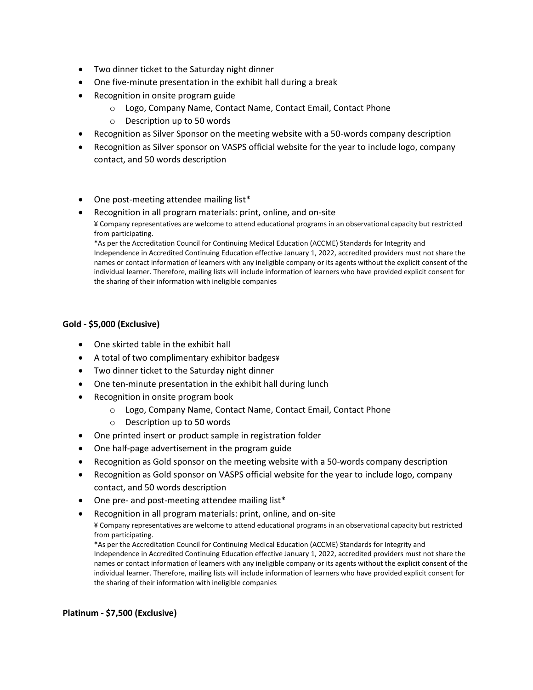- Two dinner ticket to the Saturday night dinner
- One five-minute presentation in the exhibit hall during a break
- Recognition in onsite program guide
	- o Logo, Company Name, Contact Name, Contact Email, Contact Phone
	- o Description up to 50 words
- Recognition as Silver Sponsor on the meeting website with a 50-words company description
- Recognition as Silver sponsor on VASPS official website for the year to include logo, company contact, and 50 words description
- One post-meeting attendee mailing list\*
- Recognition in all program materials: print, online, and on-site ¥ Company representatives are welcome to attend educational programs in an observational capacity but restricted from participating.

\*As per the Accreditation Council for Continuing Medical Education (ACCME) Standards for Integrity and Independence in Accredited Continuing Education effective January 1, 2022, accredited providers must not share the names or contact information of learners with any ineligible company or its agents without the explicit consent of the individual learner. Therefore, mailing lists will include information of learners who have provided explicit consent for the sharing of their information with ineligible companies

### **Gold - \$5,000 (Exclusive)**

- One skirted table in the exhibit hall
- A total of two complimentary exhibitor badges¥
- Two dinner ticket to the Saturday night dinner
- One ten-minute presentation in the exhibit hall during lunch
- Recognition in onsite program book
	- o Logo, Company Name, Contact Name, Contact Email, Contact Phone
	- o Description up to 50 words
- One printed insert or product sample in registration folder
- One half-page advertisement in the program guide
- Recognition as Gold sponsor on the meeting website with a 50-words company description
- Recognition as Gold sponsor on VASPS official website for the year to include logo, company contact, and 50 words description
- One pre- and post-meeting attendee mailing list\*
- Recognition in all program materials: print, online, and on-site

¥ Company representatives are welcome to attend educational programs in an observational capacity but restricted from participating.

\*As per the Accreditation Council for Continuing Medical Education (ACCME) Standards for Integrity and Independence in Accredited Continuing Education effective January 1, 2022, accredited providers must not share the names or contact information of learners with any ineligible company or its agents without the explicit consent of the individual learner. Therefore, mailing lists will include information of learners who have provided explicit consent for the sharing of their information with ineligible companies

### **Platinum - \$7,500 (Exclusive)**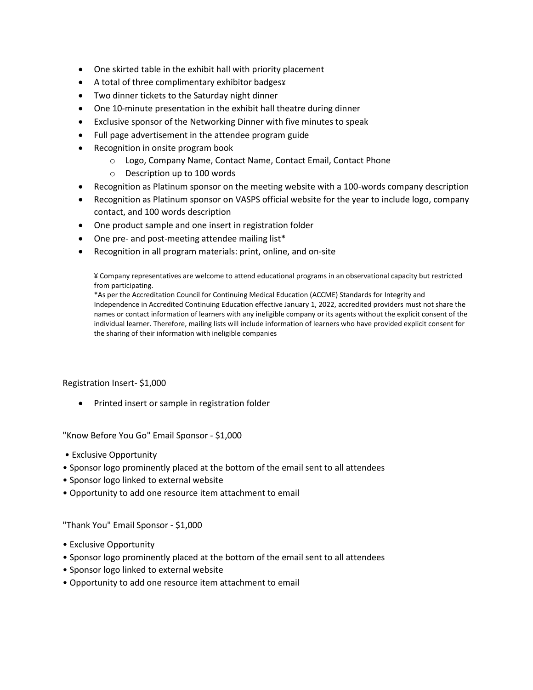- One skirted table in the exhibit hall with priority placement
- A total of three complimentary exhibitor badges¥
- Two dinner tickets to the Saturday night dinner
- One 10-minute presentation in the exhibit hall theatre during dinner
- Exclusive sponsor of the Networking Dinner with five minutes to speak
- Full page advertisement in the attendee program guide
- Recognition in onsite program book
	- o Logo, Company Name, Contact Name, Contact Email, Contact Phone
	- o Description up to 100 words
- Recognition as Platinum sponsor on the meeting website with a 100-words company description
- Recognition as Platinum sponsor on VASPS official website for the year to include logo, company contact, and 100 words description
- One product sample and one insert in registration folder
- One pre- and post-meeting attendee mailing list\*
- Recognition in all program materials: print, online, and on-site

¥ Company representatives are welcome to attend educational programs in an observational capacity but restricted from participating.

\*As per the Accreditation Council for Continuing Medical Education (ACCME) Standards for Integrity and Independence in Accredited Continuing Education effective January 1, 2022, accredited providers must not share the names or contact information of learners with any ineligible company or its agents without the explicit consent of the individual learner. Therefore, mailing lists will include information of learners who have provided explicit consent for the sharing of their information with ineligible companies

Registration Insert- \$1,000

• Printed insert or sample in registration folder

"Know Before You Go" Email Sponsor - \$1,000

- Exclusive Opportunity
- Sponsor logo prominently placed at the bottom of the email sent to all attendees
- Sponsor logo linked to external website
- Opportunity to add one resource item attachment to email

"Thank You" Email Sponsor - \$1,000

- Exclusive Opportunity
- Sponsor logo prominently placed at the bottom of the email sent to all attendees
- Sponsor logo linked to external website
- Opportunity to add one resource item attachment to email